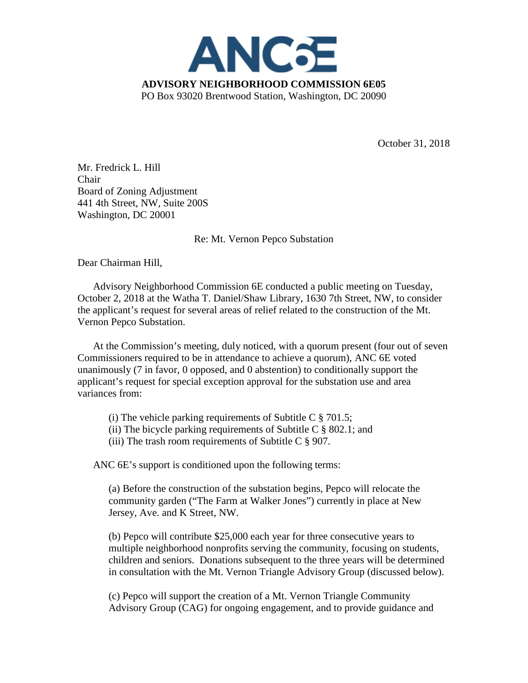

October 31, 2018

Mr. Fredrick L. Hill Chair Board of Zoning Adjustment 441 4th Street, NW, Suite 200S Washington, DC 20001

Re: Mt. Vernon Pepco Substation

Dear Chairman Hill,

Advisory Neighborhood Commission 6E conducted a public meeting on Tuesday, October 2, 2018 at the Watha T. Daniel/Shaw Library, 1630 7th Street, NW, to consider the applicant's request for several areas of relief related to the construction of the Mt. Vernon Pepco Substation.

At the Commission's meeting, duly noticed, with a quorum present (four out of seven Commissioners required to be in attendance to achieve a quorum), ANC 6E voted unanimously (7 in favor, 0 opposed, and 0 abstention) to conditionally support the applicant's request for special exception approval for the substation use and area variances from:

- (i) The vehicle parking requirements of Subtitle C  $\S$  701.5;
- (ii) The bicycle parking requirements of Subtitle C  $\S$  802.1; and
- (iii) The trash room requirements of Subtitle C  $\S$  907.

ANC 6E's support is conditioned upon the following terms:

(a) Before the construction of the substation begins, Pepco will relocate the community garden ("The Farm at Walker Jones") currently in place at New Jersey, Ave. and K Street, NW.

(b) Pepco will contribute \$25,000 each year for three consecutive years to multiple neighborhood nonprofits serving the community, focusing on students, children and seniors. Donations subsequent to the three years will be determined in consultation with the Mt. Vernon Triangle Advisory Group (discussed below).

(c) Pepco will support the creation of a Mt. Vernon Triangle Community Advisory Group (CAG) for ongoing engagement, and to provide guidance and